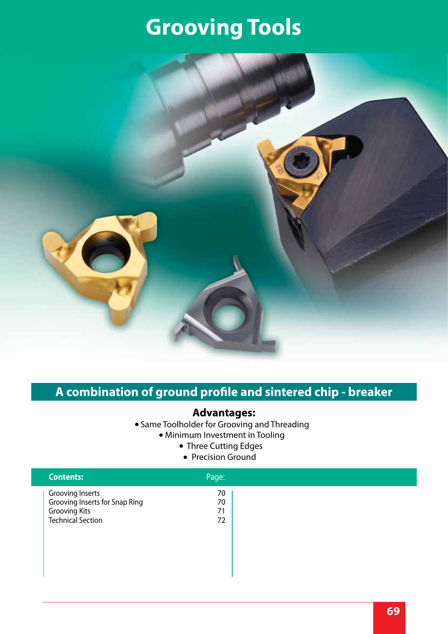# **Grooving Tools**



## **A combination of ground profile and sintered chip - breaker**

### **Advantages:**

- Same Toolholder for Grooving and Threading
	- Minimum Investment in Tooling
		- Three Cutting Edges
			- Precision Ground

| <b>Contents:</b>                                                                                              | Page:                |  |
|---------------------------------------------------------------------------------------------------------------|----------------------|--|
| <b>Grooving Inserts</b><br>Grooving Inserts for Snap Ring<br><b>Grooving Kits</b><br><b>Technical Section</b> | 70<br>70<br>71<br>72 |  |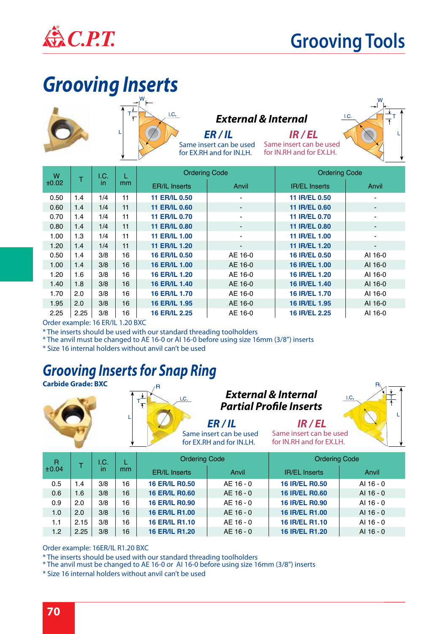

## **Grooving Tools**

 $1.0$ 

# *Grooving Inserts*





#### *External & Internal*

Same insert can be used Same insert can be used for EX.RH and for IN.LH.



| W<br>᠇ |      | I.C. |               | <b>Ordering Code</b> |                | <b>Ordering Code</b> |                          |
|--------|------|------|---------------|----------------------|----------------|----------------------|--------------------------|
| ±0.02  | in.  |      | <sub>mm</sub> | <b>ER/IL Inserts</b> | Anvil          | <b>IR/EL Inserts</b> | Anvil                    |
| 0.50   | 1.4  | 1/4  | 11            | <b>11 ER/IL 0.50</b> |                | 11 IR/EL 0.50        |                          |
| 0.60   | 1.4  | 1/4  | 11            | <b>11 ER/IL 0.60</b> |                | 11 IR/EL 0.60        | $\overline{a}$           |
| 0.70   | 1.4  | 1/4  | 11            | <b>11 ER/IL 0.70</b> |                | 11 IR/EL 0.70        | $\blacksquare$           |
| 0.80   | 1.4  | 1/4  | 11            | <b>11 ER/IL 0.80</b> |                | 11 IR/EL 0.80        | -                        |
| 1.00   | 1.3  | 1/4  | 11            | <b>11 ER/IL 1.00</b> |                | 11 IR/EL 1.00        | $\blacksquare$           |
| 1.20   | 1.4  | 1/4  | 11            | <b>11 ER/IL 1.20</b> | $\blacksquare$ | 11 IR/EL 1.20        | $\overline{\phantom{a}}$ |
| 0.50   | 1.4  | 3/8  | 16            | <b>16 ER/IL 0.50</b> | AE 16-0        | 16 IR/EL 0.50        | AI 16-0                  |
| 1.00   | 1.4  | 3/8  | 16            | <b>16 ER/IL 1.00</b> | AE 16-0        | 16 IR/EL 1.00        | AI 16-0                  |
| 1.20   | 1.6  | 3/8  | 16            | <b>16 ER/IL 1.20</b> | AE 16-0        | 16 IR/EL 1.20        | AI 16-0                  |
| 1.40   | 1.8  | 3/8  | 16            | <b>16 ER/IL 1.40</b> | AE 16-0        | 16 IR/EL 1.40        | AI 16-0                  |
| 1.70   | 2.0  | 3/8  | 16            | <b>16 ER/IL 1.70</b> | AE 16-0        | 16 IR/EL 1.70        | AI 16-0                  |
| 1.95   | 2.0  | 3/8  | 16            | 16 ER/IL 1.95        | AE 16-0        | 16 IR/EL 1.95        | AI 16-0                  |
| 2.25   | 2.25 | 3/8  | 16            | <b>16 ER/IL 2.25</b> | AE 16-0        | 16 IR/EL 2.25        | AI 16-0                  |

Order example: 16 ER/IL 1.20 BXC

\* The inserts should be used with our standard threading toolholders

\* The anvil must be changed to AE 16-0 or AI 16-0 before using size 16mm (3/8") inserts

\* Size 16 internal holders without anvil can't be used

## *Grooving Inserts for Snap Ring*

**Carbide Grade: BXC**





## *External & Internal Partial Profile Inserts*

*ER / IL IR / EL* Same insert can be used for EX.RH and for IN.LH.

Same insert can be used for IN.RH and for EX.LH.



| R<br>±0.04<br>in | I.C. |     | <b>Ordering Code</b> |                       | <b>Ordering Code</b> |                       |             |
|------------------|------|-----|----------------------|-----------------------|----------------------|-----------------------|-------------|
|                  |      | mm  | <b>ER/IL Inserts</b> | Anvil                 | <b>IR/EL Inserts</b> | Anvil                 |             |
| 0.5              | 1.4  | 3/8 | 16                   | <b>16 ER/IL R0.50</b> | AE 16 - 0            | <b>16 IR/EL R0.50</b> | AI 16 - 0   |
| 0.6              | 1.6  | 3/8 | 16                   | <b>16 ER/IL R0.60</b> | AE 16 - 0            | <b>16 IR/EL R0.60</b> | AI 16 - 0   |
| 0.9              | 2.0  | 3/8 | 16                   | <b>16 ER/IL R0.90</b> | AE 16 - 0            | <b>16 IR/EL R0.90</b> | AI 16 - 0   |
| 1.0              | 2.0  | 3/8 | 16                   | <b>16 ER/IL R1.00</b> | AE 16 - 0            | 16 IR/EL R1.00        | AI 16 - 0   |
| 1.1              | 2.15 | 3/8 | 16                   | <b>16 ER/IL R1.10</b> | AE 16 - 0            | <b>16 IR/EL R1.10</b> | AI 16 - 0   |
| 1.2              | 2.25 | 3/8 | 16                   | <b>16 ER/IL R1.20</b> | AE 16 - 0            | <b>16 IR/EL R1.20</b> | $AI 16 - 0$ |

Order example: 16ER/IL R1.20 BXC

\* The inserts should be used with our standard threading toolholders

\* The anvil must be changed to AE 16-0 or AI 16-0 before using size 16mm (3/8") inserts

\* Size 16 internal holders without anvil can't be used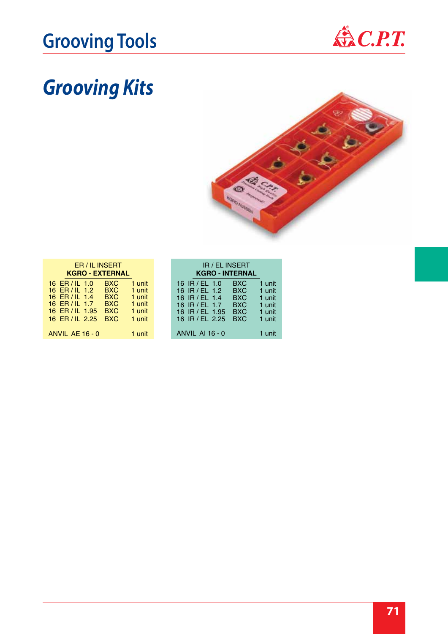# Grooving Tools & C.P.T.



# *Grooving Kits*



| ER / IL INSERT<br><b>KGRO - EXTERNAL</b>                                                                 |                                                                                  |                                                          |  |  |  |
|----------------------------------------------------------------------------------------------------------|----------------------------------------------------------------------------------|----------------------------------------------------------|--|--|--|
| $16$ FR/II $1.0$<br>16 ER / IL 1.2<br>16 ER / IL 1.4<br>16 ER/IL 1.7<br>16 ER / IL 1.95<br>16 ER/IL 2.25 | <b>BXC</b><br><b>BXC</b><br><b>BXC</b><br><b>BXC</b><br><b>BXC</b><br><b>BXC</b> | 1 unit<br>1 unit<br>1 unit<br>1 unit<br>1 unit<br>1 unit |  |  |  |
| ANVIL AE 16 - 0                                                                                          |                                                                                  | 1 unit                                                   |  |  |  |

| IR / EL INSERT<br><b>KGRO - INTERNAL</b>                                                                                                                                             |                                                          |
|--------------------------------------------------------------------------------------------------------------------------------------------------------------------------------------|----------------------------------------------------------|
| <b>BXC</b><br>16 IR/EL 1.0<br>BXC.<br>16 IR / EL 1.2<br>16 IR / EL 1.4<br><b>BXC</b><br><b>BXC</b><br>16 $IR/F1.7$<br><b>BXC</b><br>16 IR / FI 1.95<br><b>BXC</b><br>16 IR / EL 2.25 | 1 unit<br>1 unit<br>1 unit<br>1 unit<br>1 unit<br>1 unit |
| <b>ANVIL AI 16 - 0</b>                                                                                                                                                               | 1 unit                                                   |